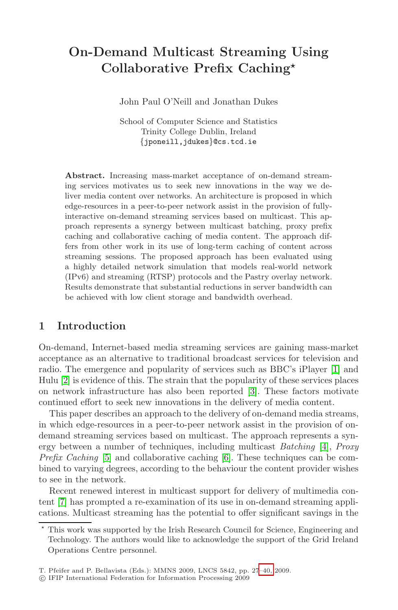# **On-Demand Multicast Streaming Using Collaborative Prefix Caching***-*

John Paul O'Neill and Jonathan Dukes

School of Computer Science and Statistics Trinity College Dublin, Ireland *{*jponeill,jdukes*}*@cs.tcd.ie

**Abstract.** Increasing mass-market acceptance of on-demand streaming services motivates us to seek new innovations in the way we deliver media content over networks. An architecture is proposed in which edge-resources in a peer-to-peer network assist in the provision of fullyinteractive on-demand streaming services based on multicast. This approach represents a synergy between multicast batching, proxy prefix caching and collaborative caching of media content. The approach differs from other work in its use of long-term caching of content across streaming sessions. The proposed approach has been evaluated using a highly detailed network simulation that models real-world network (IPv6) and streaming (RTSP) protocols and the Pastry overlay network. Results demonstrate that substantial reductions in [ser](#page-12-0)ver bandwidth can be achieved with low client storage and bandwidth overhead.

# **1 Introduction**

On-demand, Internet-based media streaming services are gaining mass-market acceptance as an alternative to traditional broadc[ast](#page-12-1) services for television and radio. The emergence and [po](#page-12-2)pularity of services such as BBC's iPlayer [1] and Hulu [2] is evidence of this. The strain that the popularity of these services places on network infrastructure has also been reported [3]. These factors motivate continued effort to seek new innovations in the delivery of media content.

This paper describes an approach to the delivery of on-demand media streams, in which edge-resources in a peer-to-peer network assist in the provision of ondemand streaming services based on multicast. The approach represents a synergy between a number of techniques, including multicast *Batching* [4], *Proxy Prefix Caching* [5] and collaborative caching [6]. These techniques can be combined to varying degrees, according to the behaviour the content provider wishes to see in the network.

Recent renewed interest in multi[cast](#page-13-0) support for delivery of multimedia content [7] has prompted a re-examination of its use in on-demand streaming applications. Multicast streaming has the potential to offer significant savings in the

 $\star$  This work was supported by the Irish Research Council for Science, Engineering and Technology. The authors would like to acknowledge the support of the Grid Ireland Operations Centre personnel.

T. Pfeifer and P. Bellavista (Eds.): MMNS 2009, LNCS 5842, pp. 27–40, 2009.

<sup>-</sup>c IFIP International Federation for Information Processing 2009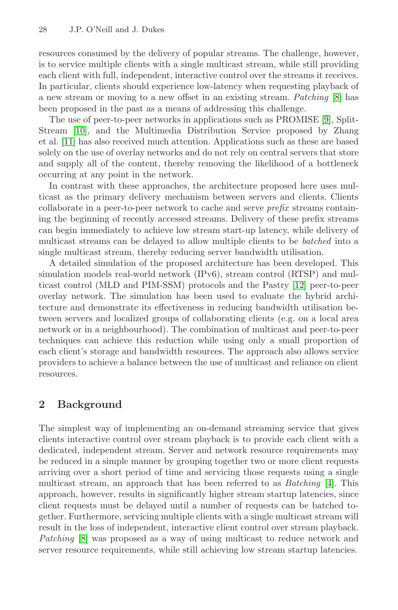resources consumed by the delivery of popular streams. The challenge, however, is to service multiple clients with a single multicast stream, while still providing each client with full, independent, interactive control over the streams it receives. In particular, clients should experience low-latency when requesting playback of a new stream or moving to a new offset in an existing stream. *Patching* [8] has been proposed in the past as a means of addressing this challenge.

The use of peer-to-peer networks in applications such as PROMISE [9], Split-Stream [10], and the Multimedia Distribution Service proposed by Zhang et al. [11] has also received much attention. Applications such as these are based solely on the use of overlay networks and do not rely on central servers that store and supply all of the content, thereby removing the likelihood of a bottleneck occurring at any point in the network.

In contrast with these approaches, the architecture proposed here uses multicast as the primary delivery mechanism b[etw](#page-13-1)een servers and clients. Clients collaborate in a peer-to-peer network to cache and serve *prefix* streams containing the beginning of recently accessed streams. Delivery of these prefix streams can begin immediately to achieve low stream start-up latency, while delivery of multicast streams can be delayed to allow multiple clients to be *batched* into a single multicast stream, thereby reducing server bandwidth utilisation.

<span id="page-1-0"></span>A detailed simulation of the proposed architecture has been developed. This simulation models real-world network (IPv6), stream control (RTSP) and multicast control (MLD and PIM-SSM) protocols and the Pastry [12] peer-to-peer overlay network. The simulation has been used to evaluate the hybrid architecture and demonstrate its effectiveness in reducing bandwidth utilisation between servers and localized groups of collaborating clients (e.g. on a local area network or in a neighbourhood). The combination of multicast and peer-to-peer techniques can achieve this reduction while using only a small proportion of each client's storage and bandwidth resources. The approach also allows service providers to achieve a balance between the use of multicast and reliance on client resources.

# **2 Background**

The simplest way of implementing an on-demand streaming service that gives clients interactive control over stream playback is to provide each client with a dedicated, independent stream. Server and network resource requirements may be reduced in a simple manner by grouping together two or more client requests arriving over a short period of time and servicing those requests using a single multicast stream, an approach that has been referred to as *Batching* [4]. This approach, however, results in significantly higher stream startup latencies, since client requests must be delayed until a number of requests can be batched together. Furthermore, servicing multiple clients with a single multicast stream will result in the loss of independent, interactive client control over stream playback. *Patching* [8] was proposed as a way of using multicast to reduce network and server resource requirements, while still achieving low stream startup latencies.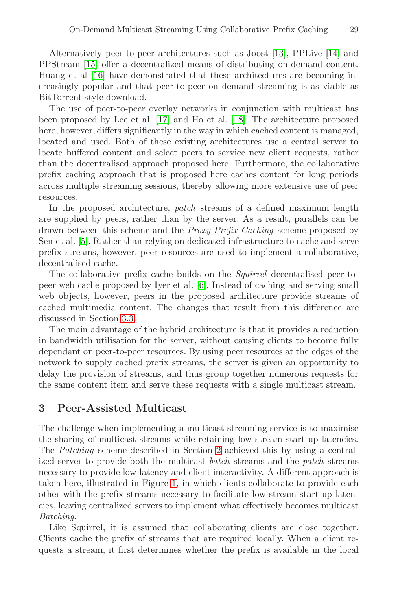Alternatively peer-to-peer architectures such as Joost [13], PPLive [14] and PPStream [15] offer a decentralized means of distributing on-demand content. Huang et al [16] have demonstrated that these architectures are becoming increasingly popular and that peer-to-peer on demand streaming is as viable as BitTorrent style download.

The use of peer-to-peer overlay networks in conjunction with multicast has been proposed by Lee et al. [17] and Ho et al. [18]. The architecture proposed here, however, differs significantly in the way in which cached content is managed, located and used. Both of these existing architectures use a central server to locate buffered content and select peers to service new client requests, rather than the decentralised approach proposed here. Furthermore, the collaborative prefix caching approach that is proposed here caches content for long periods across multiple streaming sessions, thereby allowing more extensive use of peer resources.

In the proposed [arc](#page-12-2)hitecture, *patch* streams of a defined maximum length are supplied by peers, rather than by the server. As a result, parallels can be d[raw](#page-5-0)n between this scheme and the *Proxy Prefix Caching* scheme proposed by Sen et al. [5]. Rather than relying on dedicated infrastructure to cache and serve prefix streams, however, peer resources are used to implement a collaborative, decentralised cache.

The collaborative prefix cache builds on the *Squirrel* decentralised peer-topeer web cache proposed by Iyer et al. [6]. Instead of caching and serving small web objects, however, peers in the proposed architecture provide streams of cached multimedia content. The changes that result from this difference are discussed in Section 3.3.

The main advantage of the hybrid architecture is that it provides a reduction in bandwidth utilisation for the server, without causing clients to become fully dependant on peer-to-peer resources. By using peer resources at the edges of the network to supply cache[d](#page-1-0) prefix streams, the server is given an opportunity to delay the provision of streams, and thus group together numerous requests for the same content item and serve these requests with a single multicast stream.

# **3 Peer-Assisted Multicast**

The challenge when implementing a multicast streaming service is to maximise the sharing of multicast streams while retaining low stream start-up latencies. The *Patching* scheme described in Section 2 achieved this by using a centralized server to provide both the multicast *batch* streams and the *patch* streams necessary to provide low-latency and client interactivity. A different approach is taken here, illustrated in Figure 1, in which clients collaborate to provide each other with the prefix streams necessary to facilitate low stream start-up latencies, leaving centralized servers to implement what effectively becomes multicast *Batching*.

Like Squirrel, it is assumed that collaborating clients are close together. Clients cache the prefix of streams that are required locally. When a client requests a stream, it first determines whether the prefix is available in the local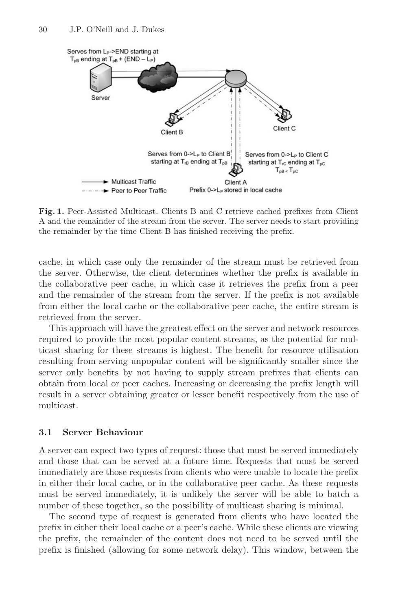

**Fig. 1.** Peer-Assisted Multicast. Clients B and C retrieve cached prefixes from Client A and the remainder of the stream from the server. The server needs to start providing the remainder by the time Client B has finished receiving the prefix.

cache, in which case only the remainder of the stream must be retrieved from the server. Otherwise, the client determines whether the prefix is available in the collaborative peer cache, in which case it retrieves the prefix from a peer and the remainder of the stream from the server. If the prefix is not available from either the local cache or the collaborative peer cache, the entire stream is retrieved from the server.

This approach will have the greatest effect on the server and network resources required to provide the most popular content streams, as the potential for multicast sharing for these streams is highest. The benefit for resource utilisation resulting from serving unpopular content will be significantly smaller since the server only benefits by not having to supply stream prefixes that clients can obtain from local or peer caches. Increasing or decreasing the prefix length will result in a server obtaining greater or lesser benefit respectively from the use of multicast.

#### $3.1$ **Server Behaviour**

A server can expect two types of request: those that must be served immediately and those that can be served at a future time. Requests that must be served immediately are those requests from clients who were unable to locate the prefix in either their local cache, or in the collaborative peer cache. As these requests must be served immediately, it is unlikely the server will be able to batch a number of these together, so the possibility of multicast sharing is minimal.

The second type of request is generated from clients who have located the prefix in either their local cache or a peer's cache. While these clients are viewing the prefix, the remainder of the content does not need to be served until the prefix is finished (allowing for some network delay). This window, between the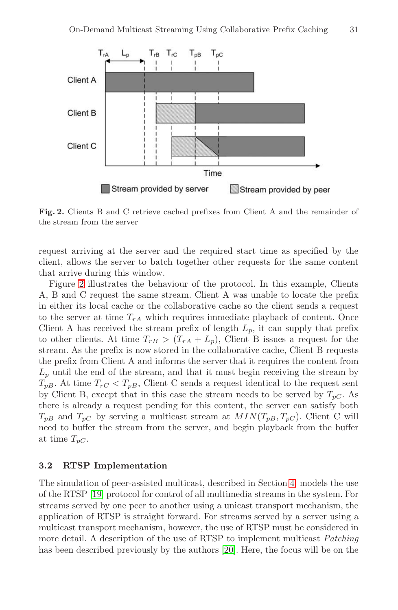

On-Demand Multicast Streaming Using Collaborative Prefix Caching 31

**Fig. 2.** Clients B and C retrieve cached prefixes from Client A and the remainder of the stream from the server

request arriving at the server and the required start time as specified by the client, allows the server to batch together other requests for the same content that arrive during this window.

Figure 2 illustrates the behaviour of the protocol. In this example, Clients A, B and C request the same stream. Client A was unable to locate the prefix in either its local cache or the collaborative cache so the client sends a request to the server at time  $T_{rA}$  which requires immediate playback of content. Once Client A has received the stream prefix of length  $L_p$ , it can supply that prefix to other clients. At time  $T_{rB} > (T_{rA} + L_p)$ , Client B issues a request for the stream. As the prefix is now stored in the collaborative cache, Client B requests the prefix from Client A and informs the server that it requires the content from  $L_p$  until the end of the stream, and that it must begin receiving the stream by  $T_{pB}$ . At time  $T_{rC}$  *< T<sub>pB</sub>*, Client C sends a request identical to the request sent by Client B, except that in this case the st[re](#page-8-0)am needs to be served by  $T_{pC}$ . As there is already a request pending for this content, the server can satisfy both  $T_{pB}$  and  $T_{pC}$  by serving a multicast stream at  $MIN(T_{pB}, T_{pC})$ . Client C will need to buffer the stream from the server, and begin playback from the buffer at time  $T_{pC}$ .

## **3.2 RTSP Implementation**

The simulation of peer-assisted multicast, described in Section 4, models the use of the RTSP [19] protocol for control of all multimedia streams in the system. For streams served by one peer to another using a unicast transport mechanism, the application of RTSP is straight forward. For streams served by a server using a multicast transport mechanism, however, the use of RTSP must be considered in more detail. A description of the use of RTSP to implement multicast *Patching* has been described previously by the authors [20]. Here, the focus will be on the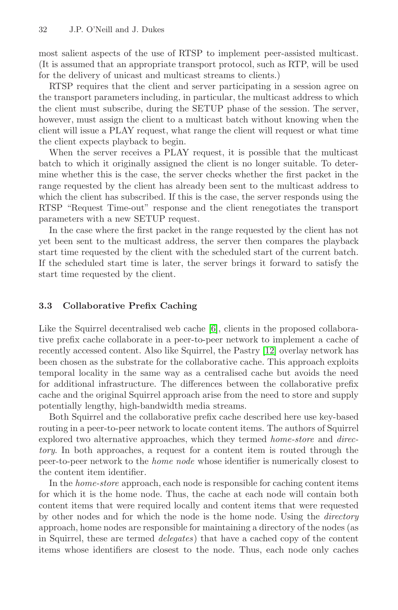most salient aspects of the use of RTSP to implement peer-assisted multicast. (It is assumed that an appropriate transport protocol, such as RTP, will be used for the delivery of unicast and multicast streams to clients.)

RTSP requires that the client and server participating in a session agree on the transport parameters including, in particular, the multicast address to which the client must subscribe, during the SETUP phase of the session. The server, however, must assign the client to a multicast batch without knowing when the client will issue a PLAY request, what range the client will request or what time the client expects playback to begin.

When the server receives a PLAY request, it is possible that the multicast batch to which it originally assigned the client is no longer suitable. To determine whether this is the case, the server checks whether the first packet in the range requested by the client has already been sent to the multicast address to which the client has subscribed. If this is the case, the server responds using the RTSP "Request Time-out" response and the client renegotiates the transport parameters with a new SETUP request.

<span id="page-5-0"></span>In the case where the first packet in the range requested by the client has not yet been sent to the m[ult](#page-12-2)icast address, the server then compares the playback start time requested by the client with the scheduled start of the current batch. If the scheduled start time is later, [the](#page-13-1) server brings it forward to satisfy the start time requested by the client.

# **3.3 Collaborative Prefix Caching**

Like the Squirrel decentralised web cache [6], clients in the proposed collaborative prefix cache collaborate in a peer-to-peer network to implement a cache of recently accessed content. Also like Squirrel, the Pastry [12] overlay network has been chosen as the substrate for the collaborative cache. This approach exploits temporal locality in the same way as a centralised cache but avoids the need for additional infrastructure. The differences between the collaborative prefix cache and the original Squirrel approach arise from the need to store and supply potentially lengthy, high-bandwidth media streams.

Both Squirrel and the collaborative prefix cache described here use key-based routing in a peer-to-peer network to locate content items. The authors of Squirrel explored two alternative approaches, which they termed *home-store* and *directory*. In both approaches, a request for a content item is routed through the peer-to-peer network to the *home node* whose identifier is numerically closest to the content item identifier.

In the *home-store* approach, each node is responsible for caching content items for which it is the home node. Thus, the cache at each node will contain both content items that were required locally and content items that were requested by other nodes and for which the node is the home node. Using the *directory* approach, home nodes are responsible for maintaining a directory of the nodes (as in Squirrel, these are termed *delegates*) that have a cached copy of the content items whose identifiers are closest to the node. Thus, each node only caches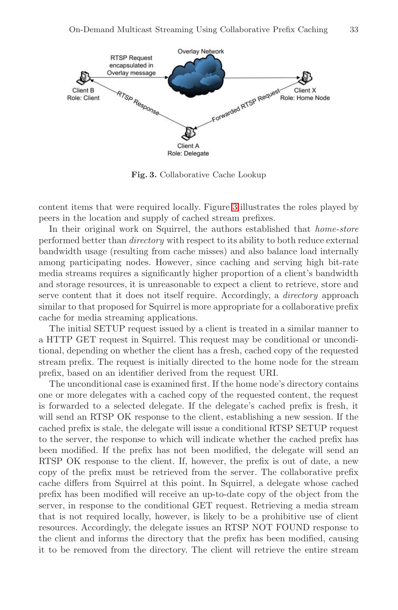

On-Demand Multicast Streaming Using Collaborative Prefix Caching 33

**Fig. 3.** Collaborative Cache Lookup

content items that were required locally. Figure 3 illustrates the roles played by peers in the location and supply of cached stream prefixes.

In their original work on Squirrel, the authors established that *home-store* performed better than *directory* with respect to its ability to both reduce external bandwidth usage (resulting from cache misses) and also balance load internally among participating nodes. However, since caching and serving high bit-rate media streams requires a significantly higher proportion of a client's bandwidth and storage resources, it is unreasonable to expect a client to retrieve, store and serve content that it does not itself require. Accordingly, a *directory* approach similar to that proposed for Squirrel is more appropriate for a collaborative prefix cache for media streaming applications.

The initial SETUP request issued by a client is treated in a similar manner to a HTTP GET request in Squirrel. This request may be conditional or unconditional, depending on whether the client has a fresh, cached copy of the requested stream prefix. The request is initially directed to the home node for the stream prefix, based on an identifier derived from the request URI.

The unconditional case is examined first. If the home node's directory contains one or more delegates with a cached copy of the requested content, the request is forwarded to a selected delegate. If the delegate's cached prefix is fresh, it will send an RTSP OK response to the client, establishing a new session. If the cached prefix is stale, the delegate will issue a conditional RTSP SETUP request to the server, the response to which will indicate whether the cached prefix has been modified. If the prefix has not been modified, the delegate will send an RTSP OK response to the client. If, however, the prefix is out of date, a new copy of the prefix must be retrieved from the server. The collaborative prefix cache differs from Squirrel at this point. In Squirrel, a delegate whose cached prefix has been modified will receive an up-to-date copy of the object from the server, in response to the conditional GET request. Retrieving a media stream that is not required locally, however, is likely to be a prohibitive use of client resources. Accordingly, the delegate issues an RTSP NOT FOUND response to the client and informs the directory that the prefix has been modified, causing it to be removed from the directory. The client will retrieve the entire stream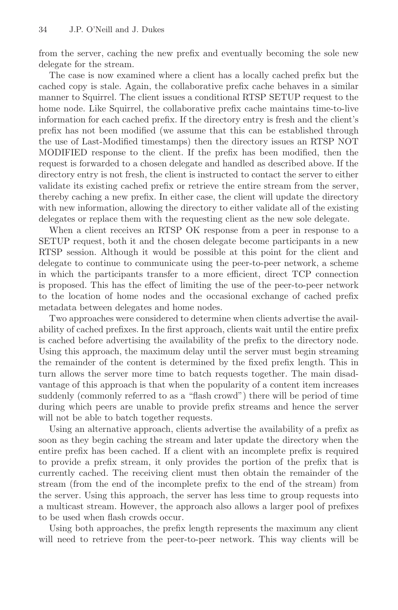from the server, caching the new prefix and eventually becoming the sole new delegate for the stream.

The case is now examined where a client has a locally cached prefix but the cached copy is stale. Again, the collaborative prefix cache behaves in a similar manner to Squirrel. The client issues a conditional RTSP SETUP request to the home node. Like Squirrel, the collaborative prefix cache maintains time-to-live information for each cached prefix. If the directory entry is fresh and the client's prefix has not been modified (we assume that this can be established through the use of Last-Modified timestamps) then the directory issues an RTSP NOT MODIFIED response to the client. If the prefix has been modified, then the request is forwarded to a chosen delegate and handled as described above. If the directory entry is not fresh, the client is instructed to contact the server to either validate its existing cached prefix or retrieve the entire stream from the server, thereby caching a new prefix. In either case, the client will update the directory with new information, allowing the directory to either validate all of the existing delegates or replace them with the requesting client as the new sole delegate.

When a client receives an RTSP OK response from a peer in response to a SETUP request, both it and the chosen delegate become participants in a new RTSP session. Although it would be possible at this point for the client and delegate to continue to communicate using the peer-to-peer network, a scheme in which the participants transfer to a more efficient, direct TCP connection is proposed. This has the effect of limiting the use of the peer-to-peer network to the location of home nodes and the occasional exchange of cached prefix metadata between delegates and home nodes.

Two approaches were considered to determine when clients advertise the availability of cached prefixes. In the first approach, clients wait until the entire prefix is cached before advertising the availability of the prefix to the directory node. Using this approach, the maximum delay until the server must begin streaming the remainder of the content is determined by the fixed prefix length. This in turn allows the server more time to batch requests together. The main disadvantage of this approach is that when the popularity of a content item increases suddenly (commonly referred to as a "flash crowd") there will be period of time during which peers are unable to provide prefix streams and hence the server will not be able to batch together requests.

Using an alternative approach, clients advertise the availability of a prefix as soon as they begin caching the stream and later update the directory when the entire prefix has been cached. If a client with an incomplete prefix is required to provide a prefix stream, it only provides the portion of the prefix that is currently cached. The receiving client must then obtain the remainder of the stream (from the end of the incomplete prefix to the end of the stream) from the server. Using this approach, the server has less time to group requests into a multicast stream. However, the approach also allows a larger pool of prefixes to be used when flash crowds occur.

Using both approaches, the prefix length represents the maximum any client will need to retrieve from the peer-to-peer network. This way clients will be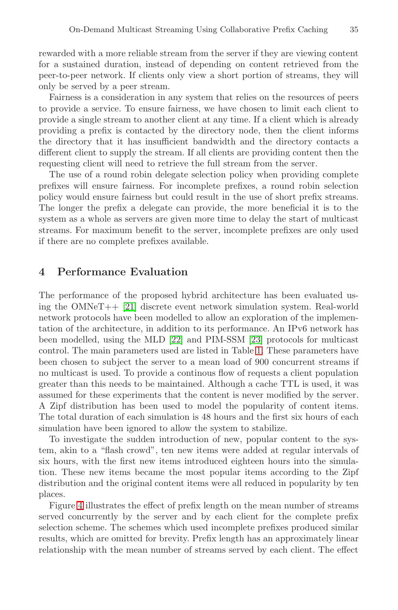rewarded with a more reliable stream from the server if they are viewing content for a sustained duration, instead of depending on content retrieved from the peer-to-peer network. If clients only view a short portion of streams, they will only be served by a peer stream.

Fairness is a consideration in any system that relies on the resources of peers to provide a service. To ensure fairness, we have chosen to limit each client to provide a single stream to another client at any time. If a client which is already providing a prefix is contacted by the directory node, then the client informs the directory that it has insufficient bandwidth and the directory contacts a different client to supply the stream. If all clients are providing content then the requesting client will need to retrieve the full stream from the server.

<span id="page-8-0"></span>The use of a round robin delegate selection policy when providing complete prefixes will ensure fairness. For incomplete prefixes, a round robin selection policy would ensure fairness but could result in the use of short prefix streams. The longer the prefix a delegate can provide, the more beneficial it is to the sy[stem](#page-13-4) as a whole as servers are given more time to delay the start of multicast streams. For maximum benefit to the server, incomplete prefixes are only used if there are no complete prefixes available.

# **4 Performance Evaluati[on](#page-9-0)**

The performance of the proposed hybrid architecture has been evaluated using the  $OMNeT++$  [21] discrete event network simulation system. Real-world network protocols have been modelled to allow an exploration of the implementation of the architecture, in addition to its performance. An IPv6 network has been modelled, using the MLD [22] and PIM-SSM [23] protocols for multicast control. The main parameters used are listed in Table 1. These parameters have been chosen to subject the server to a mean load of 900 concurrent streams if no multicast is used. To provide a continous flow of requests a client population greater than this needs to be maintained. Although a cache TTL is used, it was assumed for these experiments that the content is never modified by the server. A Zipf distribution has been used to model the popularity of content items. The total duration of each simulation is 48 hours and the first six hours of each simulation have been ignored to allow the system to stabilize.

To investigate the sudden introduction of new, popular content to the system, akin to a "flash crowd", ten new items were added at regular intervals of six hours, with the first new items introduced eighteen hours into the simulation. These new items became the most popular items according to the Zipf distribution and the original content items were all reduced in popularity by ten places.

Figure 4 illustrates the effect of prefix length on the mean number of streams served concurrently by the server and by each client for the complete prefix selection scheme. The schemes which used incomplete prefixes produced similar results, which are omitted for brevity. Prefix length has an approximately linear relationship with the mean number of streams served by each client. The effect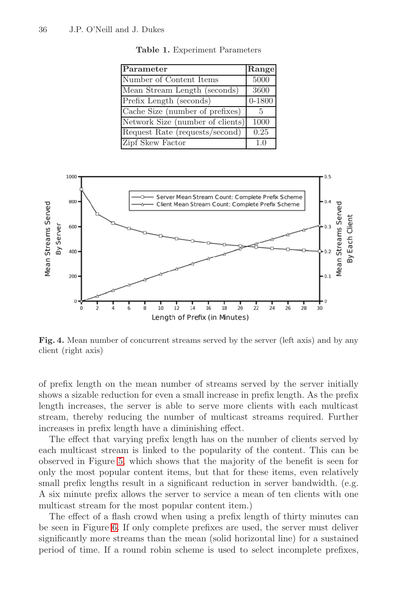<span id="page-9-0"></span>**Table 1.** Experiment Parameters

| Parameter                        | Range      |
|----------------------------------|------------|
| Number of Content Items          | 5000       |
| Mean Stream Length (seconds)     | 3600       |
| Prefix Length (seconds)          | $0 - 1800$ |
| Cache Size (number of prefixes)  | .5         |
| Network Size (number of clients) | 1000       |
| Request Rate (requests/second)   | 0.25       |
| Zipf Skew Factor                 | 1.0        |



**Fig. 4.** Mean number of concurrent streams served by the server (left axis) and by any client (right axis)

[of](#page-10-0) prefix length on the mean number of streams served by the server initially shows a sizable reduction for even a small increase in prefix length. As the prefix length increases, the server is able to serve more clients with each multicast stream, thereby reducing the number of multicast streams required. Further increases in prefix length have a diminishing effect.

The effect that varying prefix length has on the number of clients served by [e](#page-10-1)ach multicast stream is linked to the popularity of the content. This can be observed in Figure 5, which shows that the majority of the benefit is seen for only the most popular content items, but that for these items, even relatively small prefix lengths result in a significant reduction in server bandwidth. (e.g. A six minute prefix allows the server to service a mean of ten clients with one multicast stream for the most popular content item.)

The effect of a flash crowd when using a prefix length of thirty minutes can be seen in Figure 6. If only complete prefixes are used, the server must deliver significantly more streams than the mean (solid horizontal line) for a sustained period of time. If a round robin scheme is used to select incomplete prefixes,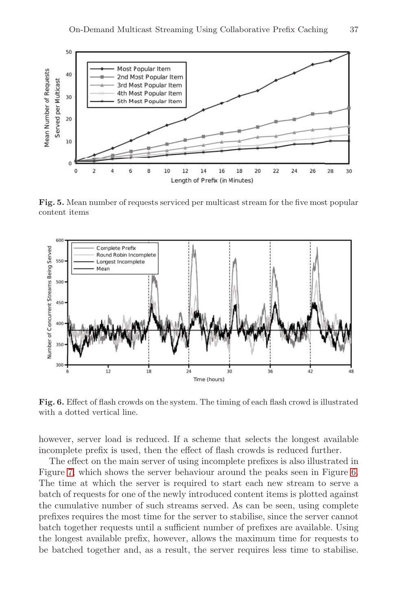<span id="page-10-0"></span>

**Fig. 5.** Mean number of requests serviced per multicast stream for the five most popular content items



<span id="page-10-1"></span>**Fig. 6.** Effect of flash crowds on the system. The timing of each flash crowd is illustrated with a dotted vertical line.

however, server load is reduced. If a scheme that selects the longest available incomplete prefix is used, then the effect of flash crowds is reduced further.

The effect on the main server of using incomplete prefixes is also illustrated in Figure 7, which shows the server behaviour around the peaks seen in Figure 6. The time at which the server is required to start each new stream to serve a batch of requests for one of the newly introduced content items is plotted against the cumulative number of such streams served. As can be seen, using complete prefixes requires the most time for the server to stabilise, since the server cannot batch together requests until a sufficient number of prefixes are available. Using the longest available prefix, however, allows the maximum time for requests to be batched together and, as a result, the server requires less time to stabilise.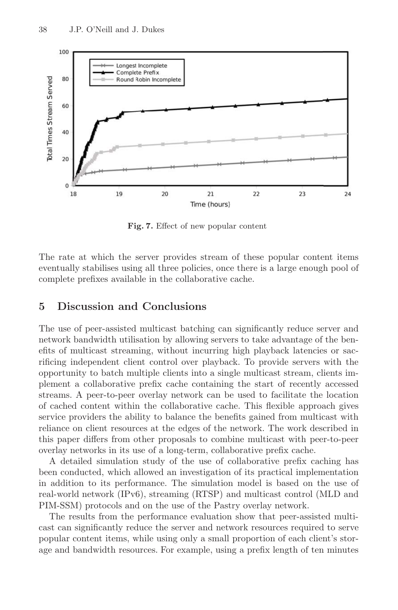

**Fig. 7.** Effect of new popular content

The rate at which the server provides stream of these popular content items eventually stabilises using all three policies, once there is a large enough pool of complete prefixes available in the collaborative cache.

# **5 Discussion and Conclusions**

The use of peer-assisted multicast batching can significantly reduce server and network bandwidth utilisation by allowing servers to take advantage of the benefits of multicast streaming, without incurring high playback latencies or sacrificing independent client control over playback. To provide servers with the opportunity to batch multiple clients into a single multicast stream, clients implement a collaborative prefix cache containing the start of recently accessed streams. A peer-to-peer overlay network can be used to facilitate the location of cached content within the collaborative cache. This flexible approach gives service providers the ability to balance the benefits gained from multicast with reliance on client resources at the edges of the network. The work described in this paper differs from other proposals to combine multicast with peer-to-peer overlay networks in its use of a long-term, collaborative prefix cache.

A detailed simulation study of the use of collaborative prefix caching has been conducted, which allowed an investigation of its practical implementation in addition to its performance. The simulation model is based on the use of real-world network (IPv6), streaming (RTSP) and multicast control (MLD and PIM-SSM) protocols and on the use of the Pastry overlay network.

The results from the performance evaluation show that peer-assisted multicast can significantly reduce the server and network resources required to serve popular content items, while using only a small proportion of each client's storage and bandwidth resources. For example, using a prefix length of ten minutes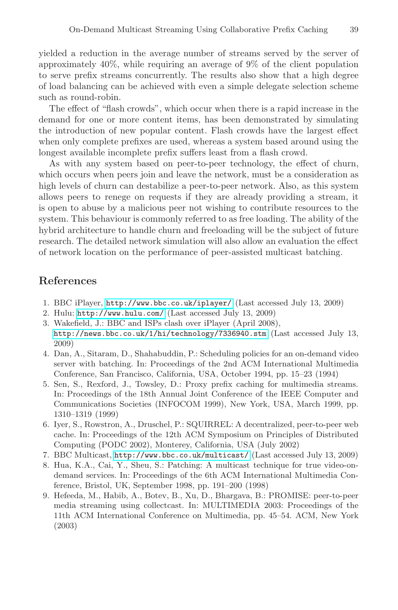yielded a reduction in the average number of streams served by the server of approximately 40%, while requiring an average of 9% of the client population to serve prefix streams concurrently. The results also show that a high degree of load balancing can be achieved with even a simple delegate selection scheme such as round-robin.

The effect of "flash crowds", which occur when there is a rapid increase in the demand for one or more content items, has been demonstrated by simulating the introduction of new popular content. Flash crowds have the largest effect when only complete prefixes are used, whereas a system based around using the longest available incomplete prefix suffers least from a flash crowd.

<span id="page-12-0"></span>As with any system based on peer-to-peer technology, the effect of churn, which occurs when peers join and leave the network, must be a consideration as high levels of churn can destabilize a peer-to-peer network. Also, as this system allows peers to renege on requests if they are already providing a stream, it is open to abuse by a malicious peer not wishing to contribute resources to the [system. This behaviour is com](http://www.bbc.co.uk/iplayer/)monly referred to as free loading. The ability of the [hybrid archit](http://www.hulu.com/)ecture to handle churn and freeloading will be the subject of future research. The detailed network simulation will also allow an evaluation the effect [of](http://news.bbc.co.uk/1/hi/technology/7336940.stm) [network](http://news.bbc.co.uk/1/hi/technology/7336940.stm) [location](http://news.bbc.co.uk/1/hi/technology/7336940.stm) [on](http://news.bbc.co.uk/1/hi/technology/7336940.stm) [the](http://news.bbc.co.uk/1/hi/technology/7336940.stm) [performanc](http://news.bbc.co.uk/1/hi/technology/7336940.stm)e of peer-assisted multicast batching.

## <span id="page-12-1"></span>**References**

- 1. BBC iPlayer, http://www.bbc.co.uk/iplayer/ (Last accessed July 13, 2009)
- 2. Hulu: http://www.hulu.com/ (Last accessed July 13, 2009)
- <span id="page-12-2"></span>3. Wakefield, J.: BBC and ISPs clash over iPlayer (April 2008),
- http://news.bbc.co.uk/1/hi/technology/7336940.stm (Last accessed July 13, 2009)
- 4. Dan, A., Sitaram, D., Shahabuddin, P.: Scheduling policies for an on-demand video server with batching. In: Proceedings of the 2nd ACM International Multimedia [Conference,](http://www.bbc.co.uk/multicast/) [San](http://www.bbc.co.uk/multicast/) [Francisco,](http://www.bbc.co.uk/multicast/) [Califo](http://www.bbc.co.uk/multicast/)rnia, USA, October 1994, pp. 15–23 (1994)
- 5. Sen, S., Rexford, J., Towsley, D.: Proxy prefix caching for multimedia streams. In: Proceedings of the 18th Annual Joint Conference of the IEEE Computer and Communications Societies (INFOCOM 1999), New York, USA, March 1999, pp. 1310–1319 (1999)
- 6. Iyer, S., Rowstron, A., Druschel, P.: SQUIRREL: A decentralized, peer-to-peer web cache. In: Proceedings of the 12th ACM Symposium on Principles of Distributed Computing (PODC 2002), Monterey, California, USA (July 2002)
- 7. BBC Multicast, http://www.bbc.co.uk/multicast/ (Last accessed July 13, 2009)
- 8. Hua, K.A., Cai, Y., Sheu, S.: Patching: A multicast technique for true video-ondemand services. In: Proceedings of the 6th ACM International Multimedia Conference, Bristol, UK, September 1998, pp. 191–200 (1998)
- 9. Hefeeda, M., Habib, A., Botev, B., Xu, D., Bhargava, B.: PROMISE: peer-to-peer media streaming using collectcast. In: MULTIMEDIA 2003: Proceedings of the 11th ACM International Conference on Multimedia, pp. 45–54. ACM, New York (2003)